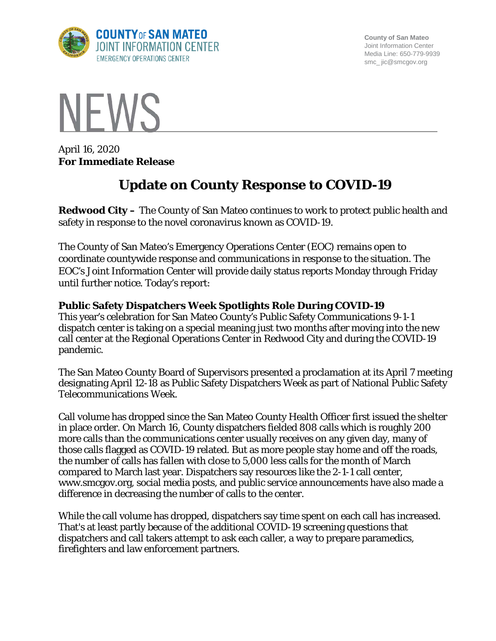

**County of San Mateo** Joint Information Center Media Line: 650-779-9939 smc\_ jic@smcgov.org



April 16, 2020 **For Immediate Release**

# **Update on County Response to COVID-19**

**Redwood City –** The County of San Mateo continues to work to protect public health and safety in response to the novel coronavirus known as COVID-19.

The County of San Mateo's Emergency Operations Center (EOC) remains open to coordinate countywide response and communications in response to the situation. The EOC's Joint Information Center will provide daily status reports Monday through Friday until further notice. Today's report:

#### **Public Safety Dispatchers Week Spotlights Role During COVID-19**

This year's celebration for San Mateo County's Public Safety Communications 9-1-1 dispatch center is taking on a special meaning just two months after moving into the new call center at the Regional Operations Center in Redwood City and during the COVID-19 pandemic.

The San Mateo County Board of Supervisors presented a proclamation at its April 7 meeting designating April 12-18 as Public Safety Dispatchers Week as part of National Public Safety Telecommunications Week.

Call volume has dropped since the San Mateo County Health Officer first issued the shelter in place order. On March 16, County dispatchers fielded 808 calls which is roughly 200 more calls than the communications center usually receives on any given day, many of those calls flagged as COVID-19 related. But as more people stay home and off the roads, the number of calls has fallen with close to 5,000 less calls for the month of March compared to March last year. Dispatchers say resources like the 2-1-1 call center, www.smcgov.org, social media posts, and public service announcements have also made a difference in decreasing the number of calls to the center.

While the call volume has dropped, dispatchers say time spent on each call has increased. That's at least partly because of the additional COVID-19 screening questions that dispatchers and call takers attempt to ask each caller, a way to prepare paramedics, firefighters and law enforcement partners.